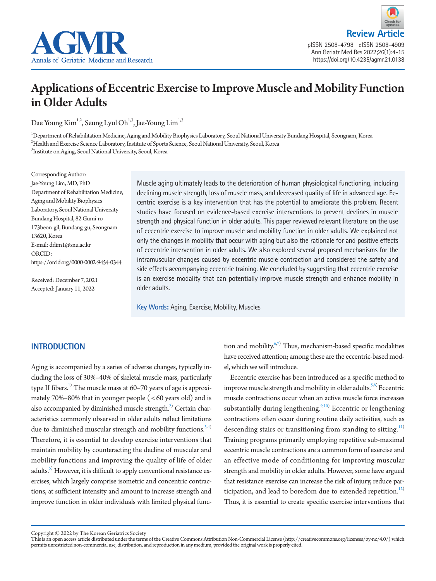

**Review Arti** pISSN 2508-4798 eISSN 2508-4909 Ann Geriatr Med Res 2022;26(1):4-15 https://doi.org/10.4235/agmr.21.0138

# Applications of Eccentric Exercise to Improve Muscle and Mobility Function in Older Adults

Dae Young Kim<sup>1,2</sup>, Seung Lyul Oh<sup>1,3</sup>, Jae-Young Lim<sup>1,3</sup>

1 Department of Rehabilitation Medicine, Aging and Mobility Biophysics Laboratory, Seoul National University Bundang Hospital, Seongnam, Korea  $^2$ Health and Exercise Science Laboratory, Institute of Sports Science, Seoul National University, Seoul, Korea 3 Institute on Aging, Seoul National University, Seoul, Korea

Corresponding Author: Jae-Young Lim, MD, PhD Department of Rehabilitation Medicine, Aging and Mobility Biophysics Laboratory, Seoul National University Bundang Hospital, 82 Gumi-ro 173beon-gil, Bundang-gu, Seongnam 13620, Korea E-mail: drlim1@snu.ac.kr ORCID: https://orcid.org/0000-0002-9454-0344

Received: December 7, 2021 Accepted: January 11, 2022

Muscle aging ultimately leads to the deterioration of human physiological functioning, including declining muscle strength, loss of muscle mass, and decreased quality of life in advanced age. Eccentric exercise is a key intervention that has the potential to ameliorate this problem. Recent studies have focused on evidence-based exercise interventions to prevent declines in muscle strength and physical function in older adults. This paper reviewed relevant literature on the use of eccentric exercise to improve muscle and mobility function in older adults. We explained not only the changes in mobility that occur with aging but also the rationale for and positive effects of eccentric intervention in older adults. We also explored several proposed mechanisms for the intramuscular changes caused by eccentric muscle contraction and considered the safety and side effects accompanying eccentric training. We concluded by suggesting that eccentric exercise is an exercise modality that can potentially improve muscle strength and enhance mobility in older adults.

**Key Words:** Aging, Exercise, Mobility, Muscles

## **INTRODUCTION**

Aging is accompanied by a series of adverse changes, typically including the loss of 30%–40% of skeletal muscle mass, particularly type II fibers.<sup>1)</sup> The muscle mass at 60–70 years of age is approximately 70%–80% that in younger people ( < 60 years old) and is also accompanied by diminished muscle strength. $^{2)}$  Certain characteristics commonly observed in older adults reflect limitations due to diminished muscular strength and mobility functions.<sup>[3](#page-8-2),[4\)](#page-8-3)</sup> Therefore, it is essential to develop exercise interventions that maintain mobility by counteracting the decline of muscular and mobility functions and improving the quality of life of older adults.<sup>[5\)](#page-8-0)</sup> However, it is difficult to apply conventional resistance exercises, which largely comprise isometric and concentric contractions, at sufficient intensity and amount to increase strength and improve function in older individuals with limited physical func-

tion and mobility.<sup>[6](#page-8-1)[,7](#page-8-4))</sup> Thus, mechanism-based specific modalities have received attention; among these are the eccentric-based model, which we will introduce.

Eccentric exercise has been introduced as a specific method to improve muscle strength and mobility in older adults. $5,8$  $5,8$ ) Eccentric muscle contractions occur when an active muscle force increases substantially during lengthening.<sup>[9](#page-8-5)[,10](#page-8-6))</sup> Eccentric or lengthening contractions often occur during routine daily activities, such as descending stairs or transitioning from standing to sitting.<sup>[11](#page-8-7))</sup> Training programs primarily employing repetitive sub-maximal eccentric muscle contractions are a common form of exercise and an effective mode of conditioning for improving muscular strength and mobility in older adults. However, some have argued that resistance exercise can increase the risk of injury, reduce participation, and lead to boredom due to extended repetition.<sup>12)</sup> Thus, it is essential to create specific exercise interventions that

Copyright © 2022 by The Korean Geriatrics Society<br>This is an open access article distributed under the terms of the Creative Commons Attribution Non-Commercial License (http://creativecommons.org/licenses/by-nc/4.0/) which permits unrestricted non-commercial use, distribution, and reproduction in any medium, provided the original work is properly cited.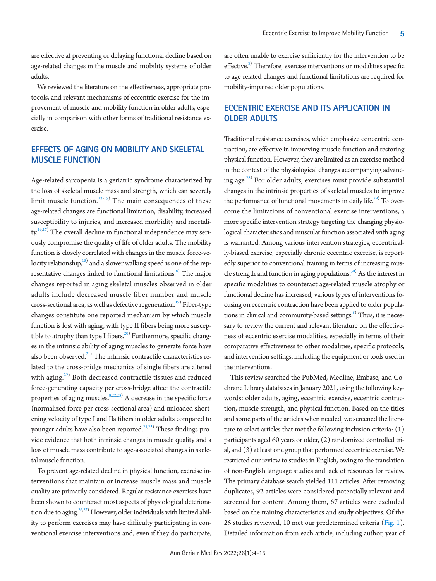are effective at preventing or delaying functional decline based on age-related changes in the muscle and mobility systems of older adults.

We reviewed the literature on the effectiveness, appropriate protocols, and relevant mechanisms of eccentric exercise for the improvement of muscle and mobility function in older adults, especially in comparison with other forms of traditional resistance exercise.

## **EFFECTS OF AGING ON MOBILITY AND SKELETAL MUSCLE FUNCTION**

Age-related sarcopenia is a geriatric syndrome characterized by the loss of skeletal muscle mass and strength, which can severely limit muscle function. $13-15$  $13-15$ ) The main consequences of these age-related changes are functional limitation, disability, increased susceptibility to injuries, and increased morbidity and mortali-ty.<sup>16[,17\)](#page-8-12)</sup> The overall decline in functional independence may seriously compromise the quality of life of older adults. The mobility function is closely correlated with changes in the muscle force-velocity relationship, $^{\rm 18)}$  and a slower walking speed is one of the representative changes linked to functional limitations.<sup>8)</sup> The major changes reported in aging skeletal muscles observed in older adults include decreased muscle fiber number and muscle cross-sectional area, as well as defective regeneration.<sup>[19](#page-9-0))</sup> Fiber-type changes constitute one reported mechanism by which muscle function is lost with aging, with type II fibers being more suscep-tible to atrophy than type I fibers.<sup>[20](#page-9-1))</sup> Furthermore, specific changes in the intrinsic ability of aging muscles to generate force have also been observed. $^{21)}$  $^{21)}$  $^{21)}$  The intrinsic contractile characteristics related to the cross-bridge mechanics of single fibers are altered with aging.<sup>[22](#page-8-14))</sup> Both decreased contractile tissues and reduced force-generating capacity per cross-bridge affect the contractile properties of aging muscles. <sup>8[,22,](#page-8-14)[23\)](#page-9-3)</sup> A decrease in the specific force (normalized force per cross-sectional area) and unloaded shortening velocity of type I and IIa fibers in older adults compared to younger adults have also been reported.<sup>[24](#page-9-4)[,25](#page-9-5))</sup> These findings provide evidence that both intrinsic changes in muscle quality and a loss of muscle mass contribute to age-associated changes in skeletal muscle function.

To prevent age-related decline in physical function, exercise interventions that maintain or increase muscle mass and muscle quality are primarily considered. Regular resistance exercises have been shown to counteract most aspects of physiological deteriora-tion due to aging.<sup>26[,27](#page-9-7))</sup> However, older individuals with limited ability to perform exercises may have difficulty participating in conventional exercise interventions and, even if they do participate,

are often unable to exercise sufficiently for the intervention to be effective.<sup>8)</sup> Therefore, exercise interventions or modalities specific to age-related changes and functional limitations are required for mobility-impaired older populations.

# **ECCENTRIC EXERCISE AND ITS APPLICATION IN OLDER ADULTS**

Traditional resistance exercises, which emphasize concentric contraction, are effective in improving muscle function and restoring physical function. However, they are limited as an exercise method in the context of the physiological changes accompanying advanc-ing age.<sup>[28](#page-9-4))</sup> For older adults, exercises must provide substantial changes in the intrinsic properties of skeletal muscles to improve the performance of functional movements in daily life.<sup>29)</sup> To overcome the limitations of conventional exercise interventions, a more specific intervention strategy targeting the changing physiological characteristics and muscular function associated with aging is warranted. Among various intervention strategies, eccentrically-biased exercise, especially chronic eccentric exercise, is reportedly superior to conventional training in terms of increasing muscle strength and function in aging populations.<sup>30)</sup> As the interest in specific modalities to counteract age-related muscle atrophy or functional decline has increased, various types of interventions focusing on eccentric contraction have been applied to older populations in clinical and community-based settings.<sup>8)</sup> Thus, it is necessary to review the current and relevant literature on the effectiveness of eccentric exercise modalities, especially in terms of their comparative effectiveness to other modalities, specific protocols, and intervention settings, including the equipment or tools used in the interventions.

This review searched the PubMed, Medline, Embase, and Cochrane Library databases in January 2021, using the following keywords: older adults, aging, eccentric exercise, eccentric contraction, muscle strength, and physical function. Based on the titles and some parts of the articles when needed, we screened the literature to select articles that met the following inclusion criteria: (1) participants aged 60 years or older, (2) randomized controlled trial, and (3) at least one group that performed eccentric exercise. We restricted our review to studies in English, owing to the translation of non-English language studies and lack of resources for review. The primary database search yielded 111 articles. After removing duplicates, 92 articles were considered potentially relevant and screened for content. Among them, 67 articles were excluded based on the training characteristics and study objectives. Of the 25 studies reviewed, 10 met our predetermined criteria [\(Fig. 1](#page-2-0)). Detailed information from each article, including author, year of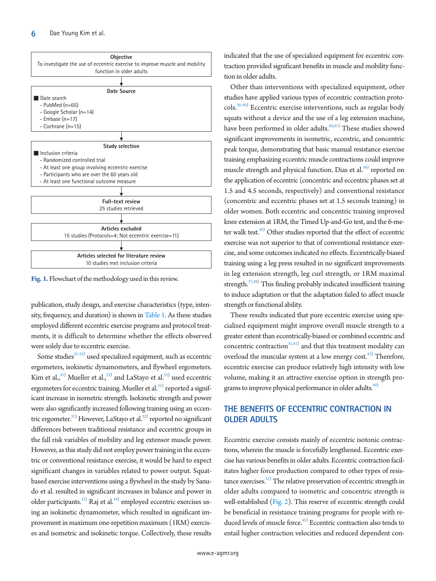<span id="page-2-0"></span>

**Fig. 1.** Flowchart of the methodology used in this review.

publication, study design, and exercise characteristics (type, intensity, frequency, and duration) is shown in [Table 1](#page-3-0). As these studies employed different eccentric exercise programs and protocol treatments, it is difficult to determine whether the effects observed were solely due to eccentric exercise.

Some studies<sup>31-35</sup>) used specialized equipment, such as eccentric ergometers, isokinetic dynamometers, and flywheel ergometers. Kim et al., $^{31)}$  Mueller et al., $^{33)}$  and LaStayo et al. $^{32)}$  $^{32)}$  $^{32)}$  used eccentric ergometers for eccentric training. Mueller et al.<sup>33)</sup> reported a significant increase in isometric strength. Isokinetic strength and power were also significantly increased following training using an eccentric ergometer.<sup>31)</sup> However, LaStayo et al.<sup>32)</sup> reported no significant differences between traditional resistance and eccentric groups in the fall risk variables of mobility and leg extensor muscle power. However, as this study did not employ power training in the eccentric or conventional resistance exercise, it would be hard to expect significant changes in variables related to power output. Squatbased exercise interventions using a flywheel in the study by Sanudo et al. resulted in significant increases in balance and power in older participants.<sup>35)</sup> Raj et al.<sup>34)</sup> employed eccentric exercises using an isokinetic dynamometer, which resulted in significant improvement in maximum one-repetition maximum (1RM) exercises and isometric and isokinetic torque. Collectively, these results

indicated that the use of specialized equipment for eccentric contraction provided significant benefits in muscle and mobility function in older adults.

Other than interventions with specialized equipment, other studies have applied various types of eccentric contraction protocols.[36](#page-9-13)[-40\)](#page-9-14) Eccentric exercise interventions, such as regular body squats without a device and the use of a leg extension machine, have been performed in older adults.<sup>40[,41](#page-9-15))</sup> These studies showed significant improvements in isometric, eccentric, and concentric peak torque, demonstrating that basic manual resistance exercise training emphasizing eccentric muscle contractions could improve muscle strength and physical function. Dias et al.<sup>[36\)](#page-9-13)</sup> reported on the application of eccentric (concentric and eccentric phases set at 1.5 and 4.5 seconds, respectively) and conventional resistance (concentric and eccentric phases set at 1.5 seconds training) in older women. Both eccentric and concentric training improved knee extension at 1RM, the Timed Up-and-Go test, and the 6-meter walk test. $36$ ) Other studies reported that the effect of eccentric exercise was not superior to that of conventional resistance exercise, and some outcomes indicated no effects. Eccentrically-biased training using a leg press resulted in no significant improvements in leg extension strength, leg curl strength, or 1RM maximal strength.<sup>37[,38\)](#page-9-17)</sup> This finding probably indicated insufficient training to induce adaptation or that the adaptation failed to affect muscle strength or functional ability.

These results indicated that pure eccentric exercise using specialized equipment might improve overall muscle strength to a greater extent than eccentrically-biased or combined eccentric and concentric contraction $31,42)$  $31,42)$  $31,42)$  $31,42)$  and that this treatment modality can overload the muscular system at a low energy cost.<sup>[43](#page-9-19))</sup> Therefore, eccentric exercise can produce relatively high intensity with low volume, making it an attractive exercise option in strength programs to improve physical performance in older adults.<sup>44)</sup>

## **THE BENEFITS OF ECCENTRIC CONTRACTION IN OLDER ADULTS**

Eccentric exercise consists mainly of eccentric isotonic contractions, wherein the muscle is forcefully lengthened. Eccentric exercise has various benefits in older adults. Eccentric contraction facilitates higher force production compared to other types of resistance exercises.<sup>31)</sup> The relative preservation of eccentric strength in older adults compared to isometric and concentric strength is well-established [\(Fig. 2\)](#page-5-0). This reserve of eccentric strength could be beneficial in resistance training programs for people with re-duced levels of muscle force.<sup>[45](#page-9-21))</sup> Eccentric contraction also tends to entail higher contraction velocities and reduced dependent con-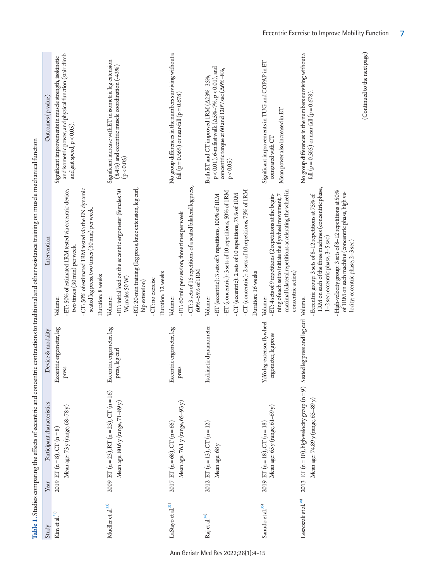| Study                         | Participant characteristics<br>Year                                                                                               | Device & modality                                  | Intervention                                                                                                                                                                                                                                                                                                 | Outcomes (p-value)                                                                                                                                                                                |
|-------------------------------|-----------------------------------------------------------------------------------------------------------------------------------|----------------------------------------------------|--------------------------------------------------------------------------------------------------------------------------------------------------------------------------------------------------------------------------------------------------------------------------------------------------------------|---------------------------------------------------------------------------------------------------------------------------------------------------------------------------------------------------|
| Kim et al. <sup>31)</sup>     | Mean age: 73 y (range, 68-78 y)<br>2019 ET $(n=8)$ , CT $(n=8)$                                                                   | Eccentric ergometer, leg<br>press                  | - CT: 50% of estimated 1RM tested via the EN dynamic<br>- ET: 50% of estimated 1RM tested via eccentric device,<br>seated leg press, two times (30 min) per week.<br>two times (30 min) per week.<br>Duration: 8 weeks<br>Volume:                                                                            | and isometric power, and physical function (stair climb<br>Significant improvements in muscle strength, isokinetic<br>and gait speed, $p < 0.05$ )                                                |
| Mueller et al. $^{\rm 33)}$   | 2009 ET ( $n = 23$ ), RT ( $n = 23$ ), CT ( $n = 16$ )<br>Mean age: $80.6$ y (range, $71-89$ y)                                   | Eccentric ergometer, leg<br>press, leg curl        | RT: 20-min training (leg press, knee extension, leg curl,<br>ET: initial load on the eccentric ergometer (females 30<br>Duration: 12 weeks<br>W, males 50 W)<br>- CT: no exercise<br>hip extension)<br>Volume:                                                                                               | Significant increase with ET in isometric leg extension<br>$(8.4\%)$ and eccentric muscle coordination $(-43\%)$<br>(p < 0.05)                                                                    |
| LaStayo et al. $^{\rm 32)}$   | Mean age: $76.1$ y (range, $65-93$ y)<br>2017 ET ( $n = 68$ ), CT ( $n = 66$ )                                                    | Eccentric ergometer, leg<br>press                  | - CT: 3 sets of 15 repetitions of a seated bilateral leg press,<br>- ET: 60 min per session, three times per week<br>60%-65% of 1RM<br>Volume:                                                                                                                                                               | No group differences in the numbers surviving without a<br>fall ( $p = 0.565$ ) or near-fall ( $p = 0.678$ )                                                                                      |
| Raj et al. $^{34)}$           | 2012 ET (n = 13), CT (n = 12)<br>Mean age: 68 y                                                                                   | Isokinetic dynamometer                             | - CT (concentric): 2 sets of 10 repetitions, 75% of 1RM<br>- ET (concentric): 3 sets of 10 repetitions, 50% of 1RM<br>- CT (eccentric): 2 sets of 10 repetitions, 75% of 1RM<br>ET (eccentric): 3 sets of 5 repetitions, 100% of 1RM<br>Duration: 16 weeks<br>Volume:                                        | $p < 0.01$ ), 6-m fast walk ( $\Delta$ 5%–7%, $p < 0.01$ ), and<br>concentric torque at 60 and 120°/sec ( $\Delta 6\% - 8\%$ ,<br>Both ET and CT improved 1RM ( $\Delta$ 23%-35%,<br>$p < 0.05$ ) |
| Sanudo et al. $^{\rm 35)}$    | Mean age: 65 y (range, 61-69 y)<br>2019 ET ( $n = 18$ ), CT ( $n = 18$ )                                                          | YoYo leg-extensor flywheel<br>ergometer, leg press | maximal bilateral repetitions accelerating the wheel in<br>- ET: 4 sets of 9 repetitions (2 repetitions at the begin-<br>ning of each set to initiate the flywheel movement, 7<br>concentric action)<br>Volume:                                                                                              | Significant improvements in TUG and COPAP in ET<br>Mean power also increased in ET<br>compared with CT                                                                                            |
| Leszcszak et al. $^{\rm 38)}$ | 2013 ET ( $n = 10$ ), high-velocity group ( $n = 9$ ) Seated leg press and leg curl Volume:<br>Mean age: 74.89 y (range, 65–89 y) |                                                    | 1RM on each of the three machines (concentric phase,<br>- High-velocity group: 3 sets of 8-12 repetitions at 50%<br>of 1RM on each machine (concentric phase, high ve-<br>- Eccentric group: 3 sets of 8-12 repetitions at 75% of<br>1-2 sec; eccentric phase, 3-5 sec)<br>locity; eccentric phase, 2-3 sec) | No group differences in the numbers surviving without a<br>fall ( $p = 0.565$ ) or near-fall ( $p = 0.678$ )                                                                                      |

<span id="page-3-0"></span>Ann Geriatr Med Res 2022;26(1):4-15

(Continued to the next page)

(Continued to the next page)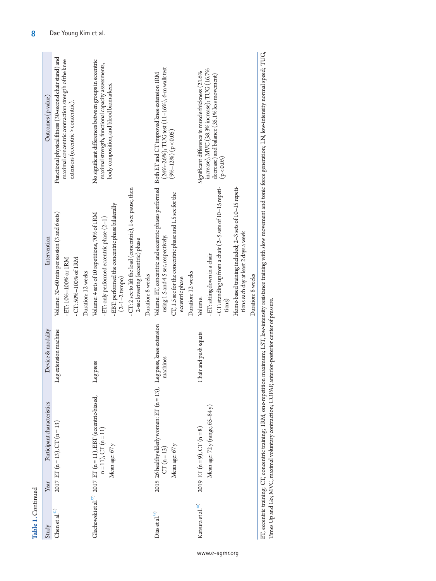|                                                                                                                                                                                                             | Functional physical fitness (30-second chair stand) and<br>No significant differences between groups in eccentric<br>Significant difference in muscle thickness (21.6%<br>Intervention                                                                                                                                                                                                                                                                                                                                                                                                                                                                                                                                                                                                                                                                                                    |
|-------------------------------------------------------------------------------------------------------------------------------------------------------------------------------------------------------------|-------------------------------------------------------------------------------------------------------------------------------------------------------------------------------------------------------------------------------------------------------------------------------------------------------------------------------------------------------------------------------------------------------------------------------------------------------------------------------------------------------------------------------------------------------------------------------------------------------------------------------------------------------------------------------------------------------------------------------------------------------------------------------------------------------------------------------------------------------------------------------------------|
| Volume:<br>tions)<br>Leg press, knee extension<br>Device & modality<br>-eg extension machine<br>Chair and push squats<br>machines<br>eg press<br>2015 26 healthy elderly women: ET (n = 13),<br>CT (n = 13) | Volume: ET, concentric and eccentric phases performed Both ET and CT improved knee extension 1RM<br>Home-based training included; 2-3 sets of 10-15 repeti-<br>- CT: standing up from a chair (2-5 sets of 10-15 repeti-<br>- CT: 2 sec to lift the load (concentric), 1-sec pause, then<br>CT, 1.5 sec for the concentric phase and 1.5 sec for the<br>EBT: performed the concentric phase bilaterally<br>Volume: 30-60 min per session (3 and 6 sets)<br>Volume: 4 sets of 10 repetitions, 70% of 1RM<br>ET: only performed eccentric phase (2-1)<br>tions each day at least 2 days a week<br>using 1.5 and 4.5 sec, respectively.<br>2-sec lowering (eccentric) phase<br>- ET: sitting down in a chair<br>- CT: 50%-100% of 1RM<br>ET: 10%-100% or 1RM<br>Duration: 12 weeks<br>Duration: 12 weeks<br>Duration: 8 weeks<br>Duration: 8 weeks<br>$(2 - 1 - 2$ tempo)<br>eccentric phase |
|                                                                                                                                                                                                             |                                                                                                                                                                                                                                                                                                                                                                                                                                                                                                                                                                                                                                                                                                                                                                                                                                                                                           |

ET, eccentric training; CT, concentric training; 1RM, one-repetition maximum; LST, low-intensity resistance training with slow movement and tonic force generation; LN, low-intensity normal speed; TUG,<br>Times Up and Go; MVC, ET, eccentric training; CT, concentric training; 1RM, one-repetition maximum; LST, low-intensity resistance training with slow movement and tonic force generation; LN, low-intensity normal speed; TUG, Times Up and Go; MVC, maximal voluntary contraction; COPAP, anterior-posterior center of pressure.

**Table 1.**

Continued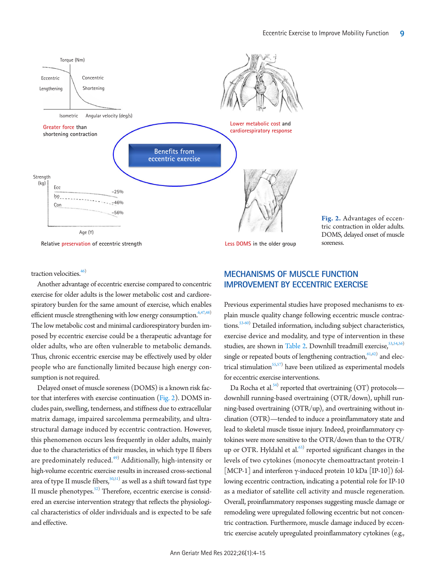<span id="page-5-0"></span>

**Relative preservation of eccentric strength**

#### **Less DOMS in the older group**

**Fig. 2.** Advantages of eccentric contraction in older adults. DOMS, delayed onset of muscle soreness.

traction velocities.<sup>46</sup>

Another advantage of eccentric exercise compared to concentric exercise for older adults is the lower metabolic cost and cardiorespiratory burden for the same amount of exercise, which enables efficient muscle strengthening with low energy consumption. $6,47,48$  $6,47,48$ ) The low metabolic cost and minimal cardiorespiratory burden imposed by eccentric exercise could be a therapeutic advantage for older adults, who are often vulnerable to metabolic demands. Thus, chronic eccentric exercise may be effectively used by older people who are functionally limited because high energy consumption is not required.

Delayed onset of muscle soreness (DOMS) is a known risk factor that interferes with exercise continuation [\(Fig. 2](#page-5-0)). DOMS includes pain, swelling, tenderness, and stiffness due to extracellular matrix damage, impaired sarcolemma permeability, and ultrastructural damage induced by eccentric contraction. However, this phenomenon occurs less frequently in older adults, mainly due to the characteristics of their muscles, in which type II fibers are predominately reduced.<sup>[49](#page-10-1))</sup> Additionally, high-intensity or high-volume eccentric exercise results in increased cross-sectional area of type II muscle fibers, $\frac{50,51)}{9}$  $\frac{50,51)}{9}$  $\frac{50,51)}{9}$  as well as a shift toward fast type II muscle phenotypes.<sup>52)</sup> Therefore, eccentric exercise is considered an exercise intervention strategy that reflects the physiological characteristics of older individuals and is expected to be safe and effective.

## **MECHANISMS OF MUSCLE FUNCTION IMPROVEMENT BY ECCENTRIC EXERCISE**

Previous experimental studies have proposed mechanisms to explain muscle quality change following eccentric muscle contrac-tions.<sup>53[-](#page-10-5)60</sup>) Detailed information, including subject characteristics, exercise device and modality, and type of intervention in these studies, are shown in [Table 2](#page-6-0). Downhill treadmill exercise,  $53,54,56$  $53,54,56$  $53,54,56$ ) single or repeated bouts of lengthening contraction,  $61,62)$  $61,62)$  and elec-trical stimulation<sup>[55](#page-10-4),[57](#page-10-5))</sup> have been utilized as experimental models for eccentric exercise interventions.

Da Rocha et al.<sup>[54](#page-10-2))</sup> reported that overtraining (OT) protocols downhill running-based overtraining (OTR/down), uphill running-based overtraining (OTR/up), and overtraining without inclination (OTR)—tended to induce a proinflammatory state and lead to skeletal muscle tissue injury. Indeed, proinflammatory cytokines were more sensitive to the OTR/down than to the OTR/ up or OTR. Hyldahl et al. $63)$  reported significant changes in the levels of two cytokines (monocyte chemoattractant protein-1 [MCP-1] and interferon  $\gamma$ -induced protein 10 kDa [IP-10]) following eccentric contraction, indicating a potential role for IP-10 as a mediator of satellite cell activity and muscle regeneration. Overall, proinflammatory responses suggesting muscle damage or remodeling were upregulated following eccentric but not concentric contraction. Furthermore, muscle damage induced by eccentric exercise acutely upregulated proinflammatory cytokines (e.g.,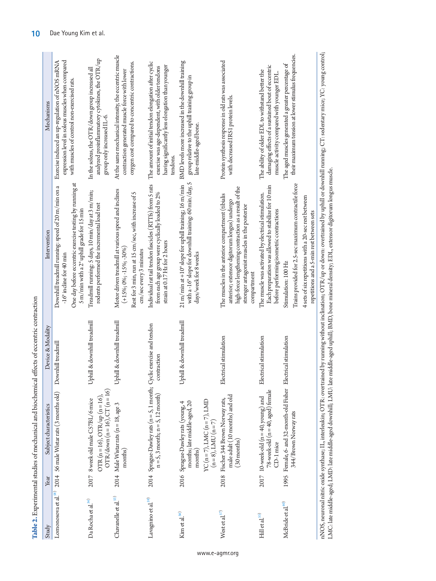| Study                            | Subject characteristics<br>Year                                                                                                                | Device & Modality           | Intervention                                                                                                                                                                                                              | Mechanisms                                                                                                                                                              |
|----------------------------------|------------------------------------------------------------------------------------------------------------------------------------------------|-----------------------------|---------------------------------------------------------------------------------------------------------------------------------------------------------------------------------------------------------------------------|-------------------------------------------------------------------------------------------------------------------------------------------------------------------------|
|                                  | Lomonosova et al. <sup>88</sup> 2014 56 male Wistar rats (3 months old)                                                                        | Downhill treadmill          | One day before eccentric exercise testing by running at<br>Downhill treadmill running: speed of 20 m/min on a<br>$-16^\circ$ incline for 40 min                                                                           | expression level in soleus muscles when compared<br>Exercise induced an up-regulation of nNOS mRNA<br>with muscles of control non-exercised rats                        |
| Da Rocha et al. $^{\mathrm{54}}$ | OTR (n = 16), OTR/up (n = 16),<br>OTR/down (n = 16), CT (n = 16)<br>2017 8 week old male CS7BL/6 mice                                          | Uphill & downhill treadmill | Treadmill running: 5 days, 10 min/day at 3 m/min;<br>rodents performed the incremental load test<br>5 m/min with a 2° uphill grade for 15 min                                                                             | analyzed proinflammatory cytokines, the OTR/up<br>In the soleus, the OTR/down group increased all<br>group only increased IL-6.                                         |
| Chavanelle et al. $^{\rm S3)}$   | 2014 Male Wistar rats (n = 18, age 3<br>months)                                                                                                | Uphill & downhill treadmill | Motor driven treadmill at various speed and inclines<br>Rest for 3 min, run at 15 cm/sec, with increase of 5<br>$(+15\%; 0\%; -15\%; -30\%)$                                                                              | At the same mechanical intensity, the eccentric muscle<br>oxygen cost compared to concentric contractions.<br>contraction generated muscle force with lower             |
| Lavagnino et al. <sup>59</sup>   | 2014 Sprague-Dawley rats (n = 5, 1 month; Cyclic exercise and tendon<br>$n = 5$ , 3 month; $n = 5$ , 12 month)                                 | contraction                 | Individual rat tail tendon fascicles (RTTfs) from 5 rats<br>from each age group were cyclically loaded to 2%<br>strain at 0.17 Hz for 2 hours<br>cm/sec every 3 minutes                                                   | The amount of initial tendon elongation after cyclic<br>having significantly less elongation than younger<br>exercise was age-dependent, with older tendons<br>tendons. |
| Kim et al. 56)                   | YC ( $n = 7$ ), LMC ( $n = 7$ ), LMD<br>months; late middle-aged, 20<br>2016 Sprague-Dawley rats (young, 4<br>$(n=8)$ , LMU $(n=7)$<br>months) | Uphill & downhill treadmill | with a -16° slope for downhill training: 60 min/day, 5<br>21 m/min at +10° slope for uphill training; 16 m/min<br>days/week for 8 weeks                                                                                   | BMD levels more increased in the downhill training<br>group relative to the uphill training group in<br>late-middle-aged bone.                                          |
| West et al. $^{57)}$             | male adult (10 months) and old<br>2018 Fischer 344 Brown Norway rats,<br>$(30 \text{ months})$                                                 | Electrical stimulation      | high-force lengthening contraction as a result of the<br>The muscles in the anterior compartment (tibialis<br>anterior; extensor digitorum longus) undergo<br>stronger antagonist muscles in the posterior<br>compartment | Protein synthesis response in old rats was associated<br>with decreased IRS1 protein levels.                                                                            |
| Hill et al. <sup>55)</sup>       | 78-week-old (n = 40, aged) female<br>2017 10-week-old $(n = 40, \text{young})$ and<br>CD-1 mice                                                | Electrical stimulation      | Each preparation was allowed to stabilize for 10 min<br>The muscle was activated by electrical stimulation.<br>before performing isometric contractions                                                                   | damaging effects of a sustained bout of eccentric<br>The ability of older EDL to withstand better the<br>muscle activity compared with younger EDL.                     |
| McBride et al. $^{60)}$          | 1995 Female, 6- and 32-month-old Fisher Electrical stimulation<br>344/Brown Norway rats                                                        |                             | Trains provided for 2.5-sec maximum contractile force<br>4 sets of six repetitions with a 20-sec rest between<br>repetitions and a 5-min rest between sets<br>Stimulation: 100 Hz                                         | their maximum tension at lower stimulus frequencies.<br>The aged muscles generated a greater percentage of                                                              |
|                                  |                                                                                                                                                |                             | nNOS, neuronal nitric oxide synthase; IL, interleukin; OTR: overtrained by running without inclination; OTR/up or down: overtrained by uphill or downhill running; CT: sedentary mice; YC: young control;                 |                                                                                                                                                                         |

nNOS, neuronal nitric oxide synthase; IL, interleukin; OTR: overtrained by running without inclination; OTR/up or down: overtrained by uphill or downhill running; CT: sedentary mice; YC: young control; ≖مّ ڗ .<br>ಇ nNOS, neuronal nitric oxide synthase; 1L, interleukin; OTK: overtrained by running without inclination; OTK/up or down: overtrained by uphill or downhill r<br>LMC: late middle-aged; LMD: late middle-aged downhill; LMU: late m LMC: late middle-aged; LMD: late middle-aged downhill; LMU: late middle-aged uphill; BMD, bone mineral density; EDL, extensor digitorum longus muscle.

<span id="page-6-0"></span>**Table 2.** Experimental studies of mechanical and biochemical effects of eccentric contraction

Table 2. Experimental studies of mechanical and biochemical effects of eccentric contraction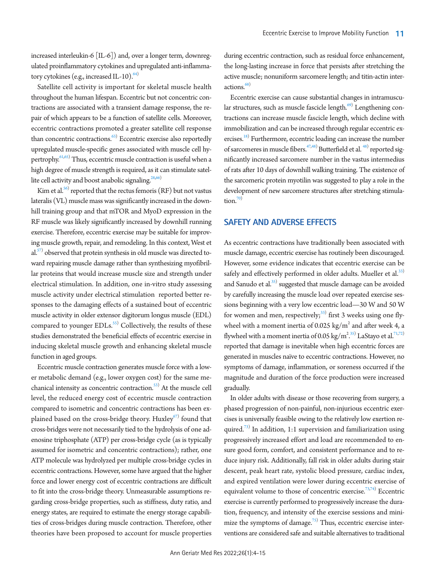increased interleukin-6 [IL-6]) and, over a longer term, downregulated proinflammatory cytokines and upregulated anti-inflammatory cytokines (e.g., increased IL-10). $^{64)}$  $^{64)}$  $^{64)}$ 

Satellite cell activity is important for skeletal muscle health throughout the human lifespan. Eccentric but not concentric contractions are associated with a transient damage response, the repair of which appears to be a function of satellite cells. Moreover, eccentric contractions promoted a greater satellite cell response than concentric contractions.<sup>63)</sup> Eccentric exercise also reportedly upregulated muscle-specific genes associated with muscle cell hy-pertrophy.<sup>61,[65\)](#page-10-17)</sup> Thus, eccentric muscle contraction is useful when a high degree of muscle strength is required, as it can stimulate satel-lite cell activity and boost anabolic signaling.<sup>28,[66](#page-10-18)</sup>

Kim et al.<sup>56)</sup> reported that the rectus femoris  $(RF)$  but not vastus lateralis (VL) muscle mass was significantly increased in the downhill training group and that mTOR and MyoD expression in the RF muscle was likely significantly increased by downhill running exercise. Therefore, eccentric exercise may be suitable for improving muscle growth, repair, and remodeling. In this context, West et  $al.^{(57)}$  observed that protein synthesis in old muscle was directed toward repairing muscle damage rather than synthesizing myofibrillar proteins that would increase muscle size and strength under electrical stimulation. In addition, one in-vitro study assessing muscle activity under electrical stimulation reported better responses to the damaging effects of a sustained bout of eccentric muscle activity in older extensor digitorum longus muscle (EDL) compared to younger EDLs.<sup>[55\)](#page-10-15)</sup> Collectively, the results of these studies demonstrated the beneficial effects of eccentric exercise in inducing skeletal muscle growth and enhancing skeletal muscle function in aged groups.

Eccentric muscle contraction generates muscle force with a lower metabolic demand (e.g., lower oxygen cost) for the same mechanical intensity as concentric contraction.<sup>53)</sup> At the muscle cell level, the reduced energy cost of eccentric muscle contraction compared to isometric and concentric contractions has been explained based on the cross-bridge theory. Huxley $^{\scriptscriptstyle{(57)}}$  found that cross-bridges were not necessarily tied to the hydrolysis of one adenosine triphosphate (ATP) per cross-bridge cycle (as is typically assumed for isometric and concentric contractions); rather, one ATP molecule was hydrolyzed per multiple cross-bridge cycles in eccentric contractions. However, some have argued that the higher force and lower energy cost of eccentric contractions are difficult to fit into the cross-bridge theory. Unmeasurable assumptions regarding cross-bridge properties, such as stiffness, duty ratio, and energy states, are required to estimate the energy storage capabilities of cross-bridges during muscle contraction. Therefore, other theories have been proposed to account for muscle properties

during eccentric contraction, such as residual force enhancement, the long-lasting increase in force that persists after stretching the active muscle; nonuniform sarcomere length; and titin-actin inter-actions.<sup>[68](#page-10-20))</sup>

Eccentric exercise can cause substantial changes in intramuscular structures, such as muscle fascicle length.<sup>69)</sup> Lengthening contractions can increase muscle fascicle length, which decline with immobilization and can be increased through regular eccentric exercises.<sup>18)</sup> Furthermore, eccentric loading can increase the number of sarcomeres in muscle fibers.<sup>47,48</sup> Butterfield et al.<sup>48)</sup> reported significantly increased sarcomere number in the vastus intermedius of rats after 10 days of downhill walking training. The existence of the sarcomeric protein myotilin was suggested to play a role in the development of new sarcomere structures after stretching stimulation.<sup>70</sup>

#### **SAFETY AND ADVERSE EFFECTS**

As eccentric contractions have traditionally been associated with muscle damage, eccentric exercise has routinely been discouraged. However, some evidence indicates that eccentric exercise can be safely and effectively performed in older adults. Mueller et al.<sup>33)</sup> and Sanudo et al.<sup>35)</sup> suggested that muscle damage can be avoided by carefully increasing the muscle load over repeated exercise sessions beginning with a very low eccentric load—30 W and 50 W for women and men, respectively; $^{33)}$  first 3 weeks using one flywheel with a moment inertia of 0.025  $\text{kg/m}^2$  and after week 4, a flywheel with a moment inertia of 0.05 kg/m<sup>2</sup>.<sup>35)</sup> LaStayo et al.<sup>71,[72](#page-11-0))</sup> reported that damage is inevitable when high eccentric forces are generated in muscles naïve to eccentric contractions. However, no symptoms of damage, inflammation, or soreness occurred if the magnitude and duration of the force production were increased gradually.

In older adults with disease or those recovering from surgery, a phased progression of non-painful, non-injurious eccentric exercises is universally feasible owing to the relatively low exertion re-quired.<sup>[73](#page-11-1))</sup> In addition, 1:1 supervision and familiarization using progressively increased effort and load are recommended to ensure good form, comfort, and consistent performance and to reduce injury risk. Additionally, fall risk in older adults during stair descent, peak heart rate, systolic blood pressure, cardiac index, and expired ventilation were lower during eccentric exercise of equivalent volume to those of concentric exercise.<sup>73,[74\)](#page-11-2)</sup> Eccentric exercise is currently performed to progressively increase the duration, frequency, and intensity of the exercise sessions and mini-mize the symptoms of damage.<sup>[75](#page-11-3))</sup> Thus, eccentric exercise interventions are considered safe and suitable alternatives to traditional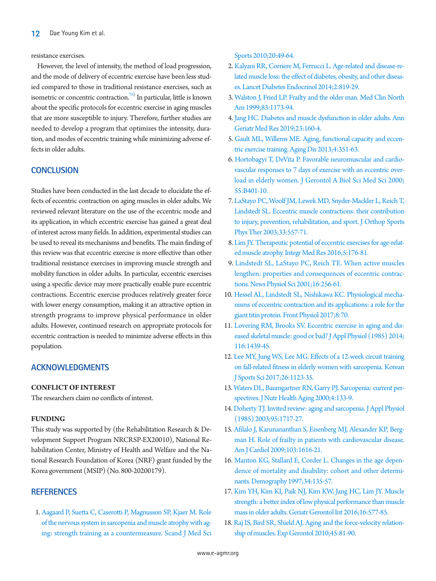resistance exercises.

However, the level of intensity, the method of load progression, and the mode of delivery of eccentric exercise have been less studied compared to those in traditional resistance exercises, such as isometric or concentric contraction.<sup>[76](#page-11-4)</sup> In particular, little is known about the specific protocols for eccentric exercise in aging muscles that are more susceptible to injury. Therefore, further studies are needed to develop a program that optimizes the intensity, duration, and modes of eccentric training while minimizing adverse effects in older adults.

## **CONCLUSION**

Studies have been conducted in the last decade to elucidate the effects of eccentric contraction on aging muscles in older adults. We reviewed relevant literature on the use of the eccentric mode and its application, in which eccentric exercise has gained a great deal of interest across many fields. In addition, experimental studies can be used to reveal its mechanisms and benefits. The main finding of this review was that eccentric exercise is more effective than other traditional resistance exercises in improving muscle strength and mobility function in older adults. In particular, eccentric exercises using a specific device may more practically enable pure eccentric contractions. Eccentric exercise produces relatively greater force with lower energy consumption, making it an attractive option in strength programs to improve physical performance in older adults. However, continued research on appropriate protocols for eccentric contraction is needed to minimize adverse effects in this population.

## **ACKNOWLEDGMENTS**

#### **CONFLICT OF INTEREST**

The researchers claim no conflicts of interest.

#### **FUNDING**

This study was supported by (the Rehabilitation Research & Development Support Program NRCRSP-EX20010), National Rehabilitation Center, Ministry of Health and Welfare and the National Research Foundation of Korea (NRF) grant funded by the Korea government (MSIP) (No. 800-20200179).

#### **REFERENCES**

<span id="page-8-0"></span>1. Aagaa[rd P, Suetta C, Caserotti P, Magnusson SP, Kjaer M. Role](https://doi.org/10.1111/j.1600-0838.2009.01084.x)  [of the nervous system in sarcopenia and muscle atrophy with ag](https://doi.org/10.1111/j.1600-0838.2009.01084.x)[ing: strength training as a countermeasure. Scand J Med Sci](https://doi.org/10.1111/j.1600-0838.2009.01084.x)  [Sports 2010;20:49-64.](https://doi.org/10.1111/j.1600-0838.2009.01084.x)

- <span id="page-8-1"></span>2. Kalyani RR, Corrie[re M, Ferrucci L. Age-related and disease-re](https://doi.org/10.1016/s2213-8587(14)70034-8)[lated muscle loss: the effect of diabetes, obesity, and other diseas](https://doi.org/10.1016/s2213-8587(14)70034-8)[es. Lancet Diabetes Endocrinol 2014;2:819-29.](https://doi.org/10.1016/s2213-8587(14)70034-8)
- <span id="page-8-2"></span>[3. Walston J, Fried LP. Frailty and the older man. Med Clin North](https://doi.org/10.1016/s0025-7125(05)70157-7)  [Am 1999;83:1173-94.](https://doi.org/10.1016/s0025-7125(05)70157-7)
- <span id="page-8-3"></span>4. Jang HC. Diabetes and muscle dysfunction in older adults. Ann Geriatr Med Res 2019;23:160-4.
- 5. Gault ML, Willems ME. Aging, functional capacity and eccentric exe[rcise training. Aging Dis 2013;4:351-63.](https://doi.org/10.14336/ad.2013.0400351)
- 6. [Hortobagyi T, DeVita P. Favorable neuromuscular and cardio](https://doi.org/10.1093/gerona/55.8.b401)[vascular responses to 7 days of exercise with an eccentric over](https://doi.org/10.1093/gerona/55.8.b401)[load in elderly women. J Gerontol A Biol Sci Med Sci 2000;](https://doi.org/10.1093/gerona/55.8.b401) [55:B401-10.](https://doi.org/10.1093/gerona/55.8.b401)
- <span id="page-8-4"></span>[7. LaStayo PC, Woolf JM, Lewek MD, Snyder-Mackler L, Reich T,](https://doi.org/10.2519/jospt.2003.33.10.557)  [Lindstedt SL. Eccentric muscle contractions: their contribution](https://doi.org/10.2519/jospt.2003.33.10.557)  [to injury, prevention, rehabilitation, and sport. J Orthop Sports](https://doi.org/10.2519/jospt.2003.33.10.557)  [Phys Ther 2003;33:557-71.](https://doi.org/10.2519/jospt.2003.33.10.557)
- 8. [Lim JY. Therapeutic potential of eccentric exercises for age-relat](https://doi.org/10.1016/j.imr.2016.06.003)[ed muscle atrophy. Integr Med Res 2016;5:176-81.](https://doi.org/10.1016/j.imr.2016.06.003)
- <span id="page-8-5"></span>9. [Lindstedt SL, LaStayo PC, Reich TE. When active muscles](https://doi.org/10.1152/physiologyonline.2001.16.6.256)  [lengthen: properties and consequences of eccentric contrac](https://doi.org/10.1152/physiologyonline.2001.16.6.256)[tions. News Physiol Sci 2001;16:256-61.](https://doi.org/10.1152/physiologyonline.2001.16.6.256)
- <span id="page-8-6"></span>10. [Hessel AL, Lindstedt SL, Nishikawa KC. Physiological mecha](https://doi.org/10.3389/fphys.2017.00070)[nisms of eccentric contraction and its applications: a role for the](https://doi.org/10.3389/fphys.2017.00070)  [giant titin protein. Front Physiol 2017;8:70.](https://doi.org/10.3389/fphys.2017.00070)
- <span id="page-8-7"></span>11. [Lovering RM, Brooks SV. Eccentric exercise in aging and dis](https://doi.org/10.1152/japplphysiol.00174.2013)[eased skeletal muscle: good or bad? J Appl Physiol \(1985\) 2014;](https://doi.org/10.1152/japplphysiol.00174.2013) [116:1439-45.](https://doi.org/10.1152/japplphysiol.00174.2013)
- <span id="page-8-8"></span>12. [Lee MY, Jung WS, Lee MG. Effects of a 12-week circuit training](https://doi.org/10.35159/kjss.2017.10.26.5.1123)  [on fall-related fitness in elderly women with sarcopenia. Korean](https://doi.org/10.35159/kjss.2017.10.26.5.1123)  [J Sports Sci 2017;26:1123-35.](https://doi.org/10.35159/kjss.2017.10.26.5.1123)
- <span id="page-8-9"></span>13. [Waters DL, Baumgartner RN, Garry PJ. Sarcopenia: current per](https://www.ncbi.nlm.nih.gov/pubmed/10936899)[spectives. J Nutr Health Aging 2000;4:133-9.](https://www.ncbi.nlm.nih.gov/pubmed/10936899)
- <span id="page-8-13"></span>14[. Doherty TJ. Invited review: aging and sarcopenia. J Appl Physiol](https://doi.org/10.1152/japplphysiol.00347.2003)  [\(1985\) 2003;95:1717-27.](https://doi.org/10.1152/japplphysiol.00347.2003)
- <span id="page-8-10"></span>15[. Afilalo J, Karunananthan S, Eisenberg MJ, Alexander KP, Berg](https://doi.org/10.1016/j.amjcard.2009.01.375)[man H. Role of frailty in patients with cardiovascular disease.](https://doi.org/10.1016/j.amjcard.2009.01.375)  [Am J Cardiol 2009;103:1616-21](https://doi.org/10.1016/j.amjcard.2009.01.375).
- <span id="page-8-11"></span>16[. Manton KG, Stallard E, Corder L. Changes in the age depen](https://doi.org/10.2307/2061664)[dence of mortality and disability: cohort and other determi](https://doi.org/10.2307/2061664)[nants. Demography 1997;34:135-57.](https://doi.org/10.2307/2061664)
- <span id="page-8-12"></span>17[. Kim YH, Kim KI, Paik NJ, Kim KW, Jang HC, Lim JY. Muscle](https://doi.org/10.1111/ggi.12514)  [strength: a better index of low physical performance than muscle](https://doi.org/10.1111/ggi.12514)  [mass in older adults. Geriatr Gerontol Int 2016;16:577-85.](https://doi.org/10.1111/ggi.12514)
- <span id="page-8-14"></span>18. Raj IS, Bi[rd SR, Shield AJ. Aging and the force-velocity relation](https://doi.org/10.1016/j.exger.2009.10.013)[ship of muscles. Exp Gerontol 2010;45:81-90.](https://doi.org/10.1016/j.exger.2009.10.013)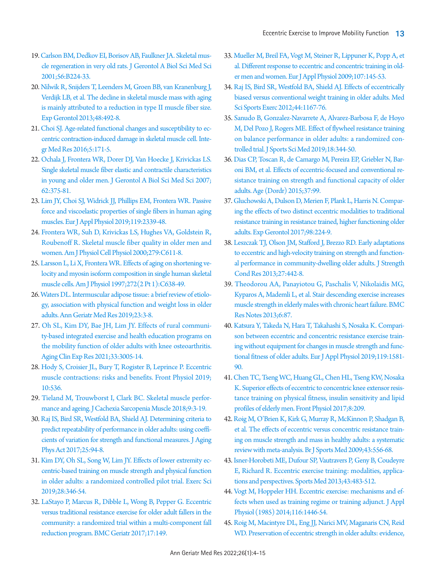- <span id="page-9-0"></span>1[9. Carlson BM, Dedkov EI, Borisov AB, Faulkner JA. Skeletal mus](https://doi.org/10.1093/gerona/56.5.b224)[cle regeneration in very old rats. J Gerontol A Biol Sci Med Sci](https://doi.org/10.1093/gerona/56.5.b224)  [2001;56:B224-33.](https://doi.org/10.1093/gerona/56.5.b224)
- <span id="page-9-1"></span>2[0. Nilwik R, Snijders T, Leenders M, Groen BB, van Kranenburg J,](https://doi.org/10.1016/j.exger.2013.02.012)  [Verdijk LB, et al. The decline in skeletal muscle mass with aging](https://doi.org/10.1016/j.exger.2013.02.012)  [is mainly attributed to a reduction in type II muscle fiber size.](https://doi.org/10.1016/j.exger.2013.02.012)  [Exp Gerontol 2013;48:492-8.](https://doi.org/10.1016/j.exger.2013.02.012)
- <span id="page-9-2"></span>2[1. Choi SJ. Age-related functional changes and susceptibility to ec](https://doi.org/10.1016/j.imr.2016.05.004)[centric contraction-induced damage in skeletal muscle cell. Inte](https://doi.org/10.1016/j.imr.2016.05.004)[gr Med Res 2016;5:171-5.](https://doi.org/10.1016/j.imr.2016.05.004)
- 22. [Ochala J, Frontera WR, Dorer DJ, Van Hoecke J, Krivickas LS.](https://doi.org/10.1093/gerona/62.4.375)  [Single skeletal muscle fiber elastic and contractile characteristics](https://doi.org/10.1093/gerona/62.4.375)  [in young and older men. J Gerontol A Biol Sci Med Sci 2007;](https://doi.org/10.1093/gerona/62.4.375) [62:375-81.](https://doi.org/10.1093/gerona/62.4.375)
- <span id="page-9-3"></span>2[3. Lim JY, Choi SJ, Widrick JJ, Phillips EM, Frontera WR. Passive](https://doi.org/10.1007/s00421-019-04221-7)  [force and viscoelastic properties of single fibers in human aging](https://doi.org/10.1007/s00421-019-04221-7)  [muscles. Eur J Appl Physiol 2019;119:2339-48](https://doi.org/10.1007/s00421-019-04221-7).
- <span id="page-9-4"></span>24. [Frontera WR, Suh D, Krivickas LS, Hughes VA, Goldstein R,](https://doi.org/10.1152/ajpcell.2000.279.3.c611)  [Roubenoff R. Skeletal muscle fiber quality in older men and](https://doi.org/10.1152/ajpcell.2000.279.3.c611)  [women. Am J Physiol Cell Physiol 2000;279:C611-8](https://doi.org/10.1152/ajpcell.2000.279.3.c611).
- <span id="page-9-5"></span>2[5. Larsson L, Li X, Frontera WR. Effects of aging on shortening ve](https://doi.org/10.1152/ajpcell.1997.272.2.c638)[locity and myosin isoform composition in single human skeletal](https://doi.org/10.1152/ajpcell.1997.272.2.c638)  [muscle cells. Am J Physiol 1997;272\(2 Pt 1\):C638-49](https://doi.org/10.1152/ajpcell.1997.272.2.c638).
- <span id="page-9-6"></span>2[6. Waters DL. Intermuscular adipose tissue: a brief review of etiolo](https://doi.org/10.4235/agmr.19.0001)[gy, association with physical function and weight loss in older](https://doi.org/10.4235/agmr.19.0001)  [adults. Ann Geriatr Med Res 2019;23:3-8.](https://doi.org/10.4235/agmr.19.0001)
- <span id="page-9-7"></span>27. Oh SL, Kim DY, Bae JH, Lim JY. Effects of rur[al communi](https://doi.org/10.1007/s40520-020-01474-7)[ty-based integrated exercise and health education programs on](https://doi.org/10.1007/s40520-020-01474-7)  [the mobility function of older adults with knee osteoarthritis.](https://doi.org/10.1007/s40520-020-01474-7)  [Aging Clin Exp Res 2021;33:3005-14.](https://doi.org/10.1007/s40520-020-01474-7)
- <span id="page-9-11"></span>28. Hody S, [Croisier JL, Bury T, Rogister B, Leprince P. Eccentric](https://doi.org/10.3389/fphys.2019.00536)  [muscle contractions: risks and benefits. Front Physiol 2019;](https://doi.org/10.3389/fphys.2019.00536) [10:536.](https://doi.org/10.3389/fphys.2019.00536)
- <span id="page-9-8"></span>29. Tieland M, Trouwborst I, Clark BC. Sk[eletal muscle perfor](https://doi.org/10.1002/jcsm.12238)[mance and ageing. J Cachexia Sarcopenia Muscle 2018;9:3-19.](https://doi.org/10.1002/jcsm.12238)
- <span id="page-9-9"></span>3[0. Raj IS, Bird SR, Westfold BA, Shield AJ. Determining criteria to](https://doi.org/10.1123/japa.2015-0221)  [predict repeatability of performance in older adults: using coeffi](https://doi.org/10.1123/japa.2015-0221)[cients of variation for strength and functional measures. J Aging](https://doi.org/10.1123/japa.2015-0221)  [Phys Act 2017;25:94-8](https://doi.org/10.1123/japa.2015-0221).
- <span id="page-9-10"></span>31. Kim DY, Oh SL, Song [W, Lim JY. Effects of lower extremity ec](https://doi.org/10.15857/ksep.2019.28.4.346)[centric-based training on muscle strength and physical function](https://doi.org/10.15857/ksep.2019.28.4.346)  [in older adults: a randomized controlled pilot trial. Exerc Sci](https://doi.org/10.15857/ksep.2019.28.4.346)  [2019;28:346-54.](https://doi.org/10.15857/ksep.2019.28.4.346)
- <span id="page-9-13"></span>32. LaStayo P, M[arcus R, Dibble L, Wong B, Pepper G. Eccentric](https://doi.org/10.1186/s12877-017-0539-8)  [versus traditional resistance exercise for older adult fallers in the](https://doi.org/10.1186/s12877-017-0539-8)  [community: a randomized trial within a multi-component fall](https://doi.org/10.1186/s12877-017-0539-8)  [reduction program. BMC Geriatr 2017;17:149](https://doi.org/10.1186/s12877-017-0539-8).
- <span id="page-9-22"></span>33. [Mueller M, Breil FA, Vogt M, Steiner R, Lippuner K, Popp A, et](https://doi.org/10.1007/s00421-009-1108-4)  [al. Different response to eccentric and concentric training in old](https://doi.org/10.1007/s00421-009-1108-4)[er men and women. Eur J Appl Physiol 2009;107:145-53.](https://doi.org/10.1007/s00421-009-1108-4)
- <span id="page-9-12"></span>34[. Raj IS, Bird SR, Westfold BA, Shield AJ. Effects of eccentrically](https://doi.org/10.1249/mss.0b013e3182442ecd)  [biased versus conventional weight training in older adults. Med](https://doi.org/10.1249/mss.0b013e3182442ecd)  [Sci Sports Exerc 2012;44:1167-76](https://doi.org/10.1249/mss.0b013e3182442ecd).
- <span id="page-9-23"></span>35. [Sanudo B, Gonzalez-Navarrete A, Alvarez-Barbosa F, de Hoyo](https://www.ncbi.nlm.nih.gov/pubmed/31191105)  [M, Del Pozo J, Rogers ME. Effect of flywheel resistance training](https://www.ncbi.nlm.nih.gov/pubmed/31191105)  [on balance performance in older adults: a randomized con](https://www.ncbi.nlm.nih.gov/pubmed/31191105)[trolled trial. J Sports Sci Med 2019;18:344-50.](https://www.ncbi.nlm.nih.gov/pubmed/31191105)
- <span id="page-9-14"></span>36. Dias [CP, Toscan R, de Camargo M, Pereira EP, Griebler N, Bar](https://doi.org/10.1007/s11357-015-9838-1)[oni BM, et al. Effects of eccentric-focused and conventional re](https://doi.org/10.1007/s11357-015-9838-1)[sistance training on strength and functional capacity of older](https://doi.org/10.1007/s11357-015-9838-1)  [adults. Age \(Dordr\) 2015;37:99](https://doi.org/10.1007/s11357-015-9838-1).
- <span id="page-9-16"></span>37[. Gluchowski A, Dulson D, Merien F, Plank L, Harris N. Compar](https://doi.org/10.1016/j.exger.2017.08.034)[ing the effects of two distinct eccentric modalities to traditional](https://doi.org/10.1016/j.exger.2017.08.034)  [resistance training in resistance trained, higher functioning older](https://doi.org/10.1016/j.exger.2017.08.034)  [adults. Exp Gerontol 2017;98:224-9](https://doi.org/10.1016/j.exger.2017.08.034).
- <span id="page-9-17"></span>38[. Leszczak TJ, Olson JM, Stafford J, Brezzo RD. Early adaptations](https://doi.org/10.1519/jsc.0b013e31825423c6)  [to eccentric and high-velocity training on strength and function](https://doi.org/10.1519/jsc.0b013e31825423c6)[al performance in community-dwelling older adults. J Strength](https://doi.org/10.1519/jsc.0b013e31825423c6)  [Cond Res 2013;27:442-8](https://doi.org/10.1519/jsc.0b013e31825423c6).
- 3[9. Theodorou AA, Panayiotou G, Paschalis V, Nikolaidis MG,](https://doi.org/10.1186/1756-0500-6-87)  [Kyparos A, Mademli L, et al. Stair descending exercise increases](https://doi.org/10.1186/1756-0500-6-87)  [muscle strength in elderly males with chronic heart failure. BMC](https://doi.org/10.1186/1756-0500-6-87)  [Res Notes 2013;6:87](https://doi.org/10.1186/1756-0500-6-87).
- <span id="page-9-24"></span>40. [Katsura Y, Takeda N, Hara T, Takahashi S, Nosaka K. Compari](https://doi.org/10.1007/s00421-019-04147-0)[son between eccentric and concentric resistance exercise train](https://doi.org/10.1007/s00421-019-04147-0)[ing without equipment for changes in muscle strength and func](https://doi.org/10.1007/s00421-019-04147-0)[tional fitness of older adults. Eur J Appl Physiol](https://doi.org/10.1007/s00421-019-04147-0) 2019;119:1581- 90.
- <span id="page-9-15"></span>41[. Chen TC, Tseng WC, Huang GL, Chen HL, Tseng KW, Nosaka](https://doi.org/10.3389/fphys.2017.00209)  [K. Superior effects of eccentric to concentric knee extensor resis](https://doi.org/10.3389/fphys.2017.00209)[tance training on physical fitness, insulin sensitivity and lipid](https://doi.org/10.3389/fphys.2017.00209)  [profiles of elderly men. Front Physiol 2017;8:209](https://doi.org/10.3389/fphys.2017.00209).
- <span id="page-9-18"></span>42. [Roig M, O'Brien K, Kirk G, Murray R, McKinnon P, Shadgan B,](https://doi.org/10.1136/bjsm.2008.051417)  [et al. The effects of eccentric versus concentric resistance train](https://doi.org/10.1136/bjsm.2008.051417)[ing on muscle strength and mass in healthy adults: a systematic](https://doi.org/10.1136/bjsm.2008.051417)  [review with meta-analysis. Br J Sports Med](https://doi.org/10.1136/bjsm.2008.051417) 2009;43:556-68.
- <span id="page-9-19"></span>43. Isner-Ho[robeti ME, Dufour SP, Vautravers P, Geny B, Coudeyre](https://doi.org/10.1007/s40279-013-0052-y)  [E, Richard R. Eccentric exercise training: modalities, applica](https://doi.org/10.1007/s40279-013-0052-y)[tions and perspectives. Sports Med 2013;43:483-512.](https://doi.org/10.1007/s40279-013-0052-y)
- <span id="page-9-20"></span>44. Vogt M, Hoppeler HH. Eccentric e[xercise: mechanisms and ef](https://doi.org/10.1152/japplphysiol.00146.2013)[fects when used as training regime or training adjunct. J Appl](https://doi.org/10.1152/japplphysiol.00146.2013)  [Physiol \(1985\) 2014;116:1446-54.](https://doi.org/10.1152/japplphysiol.00146.2013)
- <span id="page-9-21"></span>45[. Roig M, Macintyre DL, Eng JJ, Narici MV, Maganaris CN, Reid](https://doi.org/10.1016/j.exger.2010.03.008)  [WD. Preservation of eccentric strength in older adults: evidence,](https://doi.org/10.1016/j.exger.2010.03.008)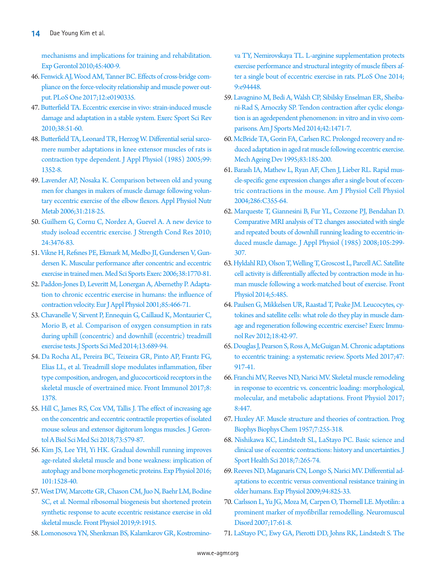[mechanisms and implications for training and rehabilitation.](https://doi.org/10.1016/j.exger.2010.03.008)  [Exp Gerontol 2010;45:400-9.](https://doi.org/10.1016/j.exger.2010.03.008)

- <span id="page-10-0"></span>4[6. Fenwick AJ, Wood AM, Tanner BC. Effects of cross-bridge com](https://doi.org/10.1371/journal.pone.0190335)[pliance on the force-velocity relationship and muscle power out](https://doi.org/10.1371/journal.pone.0190335)[put. PLoS One 2017;12:e0190335](https://doi.org/10.1371/journal.pone.0190335).
- 47. [Butterfield TA. Eccentric exercise in vivo: strain-induced muscle](https://doi.org/10.1097/jes.0b013e3181d496eb)  [damage and adaptation in a stable system. Exerc Sport Sci Rev](https://doi.org/10.1097/jes.0b013e3181d496eb)  [2010;38:51-60.](https://doi.org/10.1097/jes.0b013e3181d496eb)
- 48. [Butterfield TA, Leonard TR, Herzog W. Differential serial sarco](https://doi.org/10.1152/japplphysiol.00481.2005)[mere number adaptations in knee extensor muscles of rats is](https://doi.org/10.1152/japplphysiol.00481.2005)  [contraction type dependent. J Appl Physiol \(1985\) 2005;99:](https://doi.org/10.1152/japplphysiol.00481.2005) [1352-8.](https://doi.org/10.1152/japplphysiol.00481.2005)
- <span id="page-10-1"></span>49. Lavender AP, Nosaka K. Comparison between old and young men for changes in ma[kers of muscle damage following volun](https://doi.org/10.1139/h05-028)[tary eccentric exercise of the elbow flexors. Appl Physiol Nutr](https://doi.org/10.1139/h05-028)  [Metab 2006;31:218-25.](https://doi.org/10.1139/h05-028)
- <span id="page-10-2"></span>50. Guilhem G, Cornu C, No[rdez A, Guevel A. A new device to](https://doi.org/10.1519/jsc.0b013e3181d640ec)  [study isoload eccentric exercise. J Strength Cond Res 2010;](https://doi.org/10.1519/jsc.0b013e3181d640ec) [24:3476-83.](https://doi.org/10.1519/jsc.0b013e3181d640ec)
- <span id="page-10-3"></span>5[1. Vikne H, Refsnes PE, Ekmark M, Medbo JI, Gundersen V, Gun](https://www.ncbi.nlm.nih.gov/pubmed/17019299)[dersen K. Muscular performance after concentric and eccentric](https://www.ncbi.nlm.nih.gov/pubmed/17019299)  [exercise in trained men. Med Sci Sports Exerc 2006;38:1770-81](https://www.ncbi.nlm.nih.gov/pubmed/17019299).
- <span id="page-10-4"></span>52. Paddon-Jones [D, Leveritt M, Lonergan A, Abernethy P. Adapta](https://doi.org/10.1007/s004210100467)[tion to chronic eccentric exercise in humans: the influence of](https://doi.org/10.1007/s004210100467)  [contraction velocity. Eur J Appl Physiol 2001;85:466-71.](https://doi.org/10.1007/s004210100467)
- <span id="page-10-7"></span>53. Chavanelle [V, Sirvent P, Ennequin G, Caillaud K, Montaurier C,](https://www.ncbi.nlm.nih.gov/pubmed/25177200)  [Morio B, et al. Comparison of oxygen consumption in rats](https://www.ncbi.nlm.nih.gov/pubmed/25177200)  [during uphill \(concentric\) and downhill \(eccentric\) treadmill](https://www.ncbi.nlm.nih.gov/pubmed/25177200)  [exercise tests. J Sports Sci Med 2014;13:689-94](https://www.ncbi.nlm.nih.gov/pubmed/25177200).
- <span id="page-10-5"></span>54. Da Rocha AL, Pereir[a BC, Teixeira GR, Pinto AP, Frantz FG,](https://doi.org/10.3389/fimmu.2017.01378)  [Elias LL, et al. Treadmill slope modulates inflammation, fiber](https://doi.org/10.3389/fimmu.2017.01378)  [type composition, androgen, and glucocorticoid receptors in the](https://doi.org/10.3389/fimmu.2017.01378)  [skeletal muscle of overtrained mice. Front Immunol](https://doi.org/10.3389/fimmu.2017.01378) 2017;8: 1378.
- <span id="page-10-15"></span>55. [Hill C, James RS, Cox VM, Tallis J. The effect of increasing age](https://doi.org/10.1093/gerona/glx243)  [on the concentric and eccentric contractile properties of isolated](https://doi.org/10.1093/gerona/glx243)  [mouse soleus and extensor digitorum longus muscles. J Geron](https://doi.org/10.1093/gerona/glx243)[tol A Biol Sci Med Sci 2018;73:579-87.](https://doi.org/10.1093/gerona/glx243)
- <span id="page-10-13"></span>56. [Kim JS, Lee YH, Yi HK. Gradual downhill running improves](https://doi.org/10.1113/ep085852)  [age-related skeletal muscle and bone weakness: implication of](https://doi.org/10.1113/ep085852)  [autophagy and bone morphogenetic proteins. Exp Physiol 2016;](https://doi.org/10.1113/ep085852) [101:1528-40.](https://doi.org/10.1113/ep085852)
- <span id="page-10-14"></span>57. [West DW, Marcotte GR, Chason CM, Juo N, Baehr LM, Bodine](https://doi.org/10.3389/fphys.2018.01915)  [SC, et al. Normal ribosomal biogenesis but shortened protein](https://doi.org/10.3389/fphys.2018.01915)  [synthetic response to acute eccentric resistance exercise in old](https://doi.org/10.3389/fphys.2018.01915)  [skeletal muscle. Front Physiol 2019;9:1915.](https://doi.org/10.3389/fphys.2018.01915)
- <span id="page-10-11"></span>58. [Lomonosova YN, Shenkman BS, Kalamkarov GR, Kostromino-](https://doi.org/10.1371/journal.pone.0094448)

[va TY, Nemirovskaya TL. L-arginine supplementation protects](https://doi.org/10.1371/journal.pone.0094448)  [exercise performance and structural integrity of muscle fibers af](https://doi.org/10.1371/journal.pone.0094448)[ter a single bout of eccentric exercise in rats. PLoS One 2014;](https://doi.org/10.1371/journal.pone.0094448) [9:e94448.](https://doi.org/10.1371/journal.pone.0094448)

- <span id="page-10-12"></span>59. [Lavagnino M, Bedi A, Walsh CP, Sibilsky Enselman ER, Sheiba](https://doi.org/10.1177/0363546514526691)[ni-Rad S, Arnoczky SP. Tendon contraction after cyclic elonga](https://doi.org/10.1177/0363546514526691)[tion is an agedependent phenomenon: in vitro and in vivo com](https://doi.org/10.1177/0363546514526691)[parisons. Am J Sports Med 2014;42:1471-7.](https://doi.org/10.1177/0363546514526691)
- <span id="page-10-6"></span>60. [McBride TA, Gorin FA, Carlsen RC. Prolonged recovery and re](https://doi.org/10.1016/0047-6374(95)01629-e)[duced adaptation in aged rat muscle following eccentric exercise.](https://doi.org/10.1016/0047-6374(95)01629-e)  [Mech Ageing Dev 1995;83:185-200.](https://doi.org/10.1016/0047-6374(95)01629-e)
- <span id="page-10-8"></span>61. [Barash IA, Mathew L, Ryan AF, Chen J, Lieber RL. Rapid mus](https://doi.org/10.1152/ajpcell.00211.2003)[cle-specific gene expression changes after a single bout of eccen](https://doi.org/10.1152/ajpcell.00211.2003)[tric contractions in the mouse. Am J Physiol Cell Physiol](https://doi.org/10.1152/ajpcell.00211.2003)  [2004;286:C355-64.](https://doi.org/10.1152/ajpcell.00211.2003)
- <span id="page-10-9"></span>62[. Marqueste T, Giannesini B, Fur YL, Cozzone PJ, Bendahan D.](https://doi.org/10.1152/japplphysiol.00738.2007)  [Comparative MRI analysis of T2 changes associated with single](https://doi.org/10.1152/japplphysiol.00738.2007)  [and repeated bouts of downhill running leading to eccentric-in](https://doi.org/10.1152/japplphysiol.00738.2007)[duced muscle damage. J Appl Physiol \(1985](https://doi.org/10.1152/japplphysiol.00738.2007)) 2008;105:299- 307.
- <span id="page-10-10"></span>63. [Hyldahl RD, Olson T, Welling T, Groscost L, Parcell AC. Satellite](https://doi.org/10.3389/fphys.2014.00485)  [cell activity is differentially affected by contraction mode in hu](https://doi.org/10.3389/fphys.2014.00485)[man muscle following a work-matched bout of exercise. Front](https://doi.org/10.3389/fphys.2014.00485)  [Physiol 2014;5:485.](https://doi.org/10.3389/fphys.2014.00485)
- <span id="page-10-16"></span>64[. Paulsen G, Mikkelsen UR, Raastad T, Peake JM. Leucocytes, cy](https://www.ncbi.nlm.nih.gov/pubmed/22876722)[tokines and satellite cells: what role do they play in muscle dam](https://www.ncbi.nlm.nih.gov/pubmed/22876722)[age and regeneration following eccentric exercise? Exerc Immu](https://www.ncbi.nlm.nih.gov/pubmed/22876722)[nol Rev 2012;18:42-97](https://www.ncbi.nlm.nih.gov/pubmed/22876722).
- <span id="page-10-17"></span>6[5. Douglas J, Pearson S, Ross A, McGuigan M. Chronic adaptations](https://doi.org/10.1007/s40279-016-0628-4)  [to eccentric training: a systematic review. Sports Med 2017;47:](https://doi.org/10.1007/s40279-016-0628-4) [917-41](https://doi.org/10.1007/s40279-016-0628-4).
- <span id="page-10-18"></span>66[. Franchi MV, Reeves ND, Narici MV. Skeletal muscle remodeling](https://doi.org/10.3389/fphys.2017.00447)  [in response to eccentric vs. concentric loading: morphological,](https://doi.org/10.3389/fphys.2017.00447)  [molecular, and metabolic adaptations. Front Physiol 2017;](https://doi.org/10.3389/fphys.2017.00447) [8:447.](https://doi.org/10.3389/fphys.2017.00447)
- <span id="page-10-19"></span>67[. Huxley AF. Muscle structure and theories of contraction. Prog](https://doi.org/10.1016/s0096-4174(18)30128-8)  [Biophys Biophys Chem 1957;7:255-318](https://doi.org/10.1016/s0096-4174(18)30128-8).
- <span id="page-10-20"></span>6[8. Nishikawa KC, Lindstedt SL, LaStayo PC. Basic science and](https://doi.org/10.1016/j.jshs.2018.06.002)  [clinical use of eccentric contractions: history and uncertainties. J](https://doi.org/10.1016/j.jshs.2018.06.002)  [Sport Health Sci 2018;7:265-74](https://doi.org/10.1016/j.jshs.2018.06.002).
- <span id="page-10-21"></span>69. [Reeves ND, Maganaris CN, Longo S, Narici MV. Differential ad](https://doi.org/10.1113/expphysiol.2009.046599)[aptations to eccentric versus conventional resistance training in](https://doi.org/10.1113/expphysiol.2009.046599)  [older humans. Exp Physiol 2009;94:825-33](https://doi.org/10.1113/expphysiol.2009.046599).
- <span id="page-10-22"></span>70[. Carlsson L, Yu JG, Moza M, Carpen O, Thornell LE. Myotilin: a](https://doi.org/10.1016/j.nmd.2006.09.007)  [prominent marker of myofibrillar remodelling. Neuromuscul](https://doi.org/10.1016/j.nmd.2006.09.007)  [Disord 2007;17:61-8](https://doi.org/10.1016/j.nmd.2006.09.007).
- <span id="page-10-23"></span>71[. LaStayo PC, Ewy GA, Pierotti DD, Johns RK, Lindstedt S. The](https://doi.org/10.1093/gerona/58.5.m419)